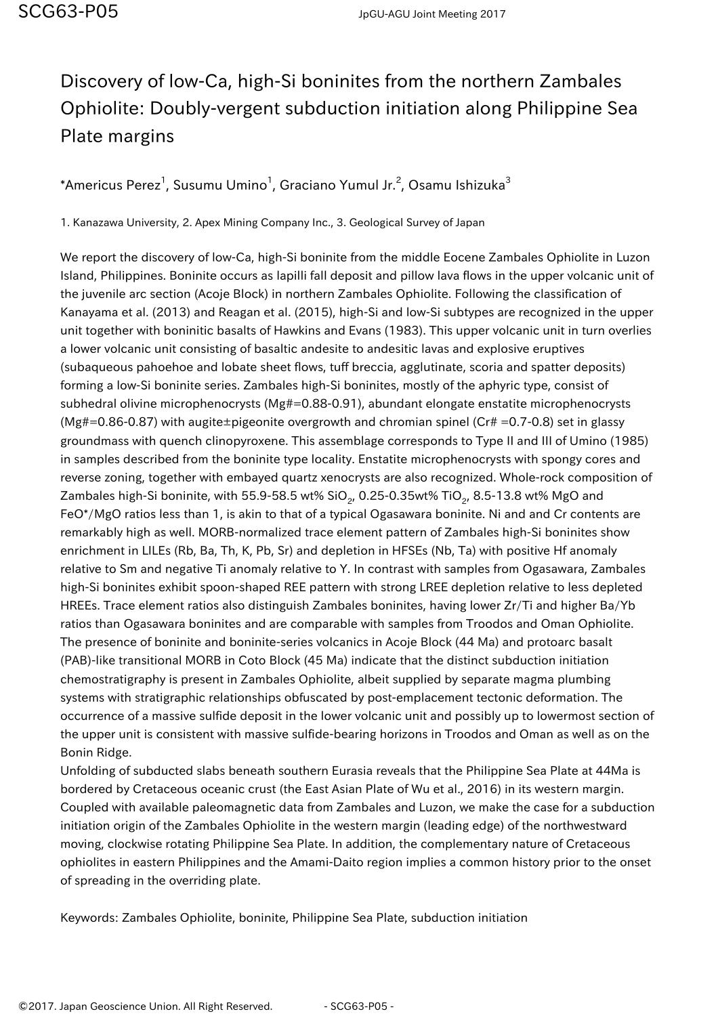## Discovery of low-Ca, high-Si boninites from the northern Zambales Ophiolite: Doubly-vergent subduction initiation along Philippine Sea Plate margins

 $^*$ Americus Perez $^1$ , Susumu Umino $^1$ , Graciano Yumul Jr. $^2$ , Osamu Ishizuka $^3$ 

1. Kanazawa University, 2. Apex Mining Company Inc., 3. Geological Survey of Japan

We report the discovery of low-Ca, high-Si boninite from the middle Eocene Zambales Ophiolite in Luzon Island, Philippines. Boninite occurs as lapilli fall deposit and pillow lava flows in the upper volcanic unit of the juvenile arc section (Acoje Block) in northern Zambales Ophiolite. Following the classification of Kanayama et al. (2013) and Reagan et al. (2015), high-Si and low-Si subtypes are recognized in the upper unit together with boninitic basalts of Hawkins and Evans (1983). This upper volcanic unit in turn overlies a lower volcanic unit consisting of basaltic andesite to andesitic lavas and explosive eruptives (subaqueous pahoehoe and lobate sheet flows, tuff breccia, agglutinate, scoria and spatter deposits) forming a low-Si boninite series. Zambales high-Si boninites, mostly of the aphyric type, consist of subhedral olivine microphenocrysts (Mg#=0.88-0.91), abundant elongate enstatite microphenocrysts  $(Mg#=0.86-0.87)$  with augite±pigeonite overgrowth and chromian spinel (Cr# =0.7-0.8) set in glassy groundmass with quench clinopyroxene. This assemblage corresponds to Type II and III of Umino (1985) in samples described from the boninite type locality. Enstatite microphenocrysts with spongy cores and reverse zoning, together with embayed quartz xenocrysts are also recognized. Whole-rock composition of Zambales high-Si boninite, with 55.9-58.5 wt% SiO<sub>2</sub>, 0.25-0.35wt% TiO<sub>2</sub>, 8.5-13.8 wt% MgO and FeO\*/MgO ratios less than 1, is akin to that of a typical Ogasawara boninite. Ni and and Cr contents are remarkably high as well. MORB-normalized trace element pattern of Zambales high-Si boninites show enrichment in LILEs (Rb, Ba, Th, K, Pb, Sr) and depletion in HFSEs (Nb, Ta) with positive Hf anomaly relative to Sm and negative Ti anomaly relative to Y. In contrast with samples from Ogasawara, Zambales high-Si boninites exhibit spoon-shaped REE pattern with strong LREE depletion relative to less depleted HREEs. Trace element ratios also distinguish Zambales boninites, having lower Zr/Ti and higher Ba/Yb ratios than Ogasawara boninites and are comparable with samples from Troodos and Oman Ophiolite. The presence of boninite and boninite-series volcanics in Acoje Block (44 Ma) and protoarc basalt (PAB)-like transitional MORB in Coto Block (45 Ma) indicate that the distinct subduction initiation chemostratigraphy is present in Zambales Ophiolite, albeit supplied by separate magma plumbing systems with stratigraphic relationships obfuscated by post-emplacement tectonic deformation. The occurrence of a massive sulfide deposit in the lower volcanic unit and possibly up to lowermost section of the upper unit is consistent with massive sulfide-bearing horizons in Troodos and Oman as well as on the Bonin Ridge.

Unfolding of subducted slabs beneath southern Eurasia reveals that the Philippine Sea Plate at 44Ma is bordered by Cretaceous oceanic crust (the East Asian Plate of Wu et al., 2016) in its western margin. Coupled with available paleomagnetic data from Zambales and Luzon, we make the case for a subduction initiation origin of the Zambales Ophiolite in the western margin (leading edge) of the northwestward moving, clockwise rotating Philippine Sea Plate. In addition, the complementary nature of Cretaceous ophiolites in eastern Philippines and the Amami-Daito region implies a common history prior to the onset of spreading in the overriding plate.

Keywords: Zambales Ophiolite, boninite, Philippine Sea Plate, subduction initiation